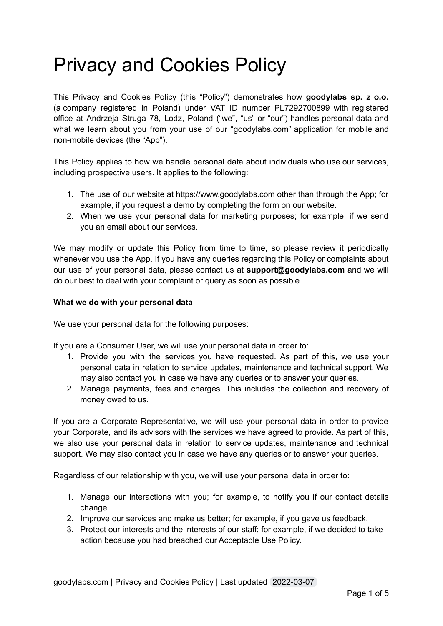# Privacy and Cookies Policy

This Privacy and Cookies Policy (this "Policy") demonstrates how **goodylabs sp. z o.o.** (a company registered in Poland) under VAT ID number PL7292700899 with registered office at Andrzeja Struga 78, Lodz, Poland ("we", "us" or "our") handles personal data and what we learn about you from your use of our "goodylabs.com" application for mobile and non-mobile devices (the "App").

This Policy applies to how we handle personal data about individuals who use our services, including prospective users. It applies to the following:

- 1. The use of our website at https://www.goodylabs.com other than through the App; for example, if you request a demo by completing the form on our website.
- 2. When we use your personal data for marketing purposes; for example, if we send you an email about our services.

We may modify or update this Policy from time to time, so please review it periodically whenever you use the App. If you have any queries regarding this Policy or complaints about our use of your personal data, please contact us at **support@goodylabs.com** and we will do our best to deal with your complaint or query as soon as possible.

## **What we do with your personal data**

We use your personal data for the following purposes:

If you are a Consumer User, we will use your personal data in order to:

- 1. Provide you with the services you have requested. As part of this, we use your personal data in relation to service updates, maintenance and technical support. We may also contact you in case we have any queries or to answer your queries.
- 2. Manage payments, fees and charges. This includes the collection and recovery of money owed to us.

If you are a Corporate Representative, we will use your personal data in order to provide your Corporate, and its advisors with the services we have agreed to provide. As part of this, we also use your personal data in relation to service updates, maintenance and technical support. We may also contact you in case we have any queries or to answer your queries.

Regardless of our relationship with you, we will use your personal data in order to:

- 1. Manage our interactions with you; for example, to notify you if our contact details change.
- 2. Improve our services and make us better; for example, if you gave us feedback.
- 3. Protect our interests and the interests of our staff; for example, if we decided to take action because you had breached our Acceptable Use Policy.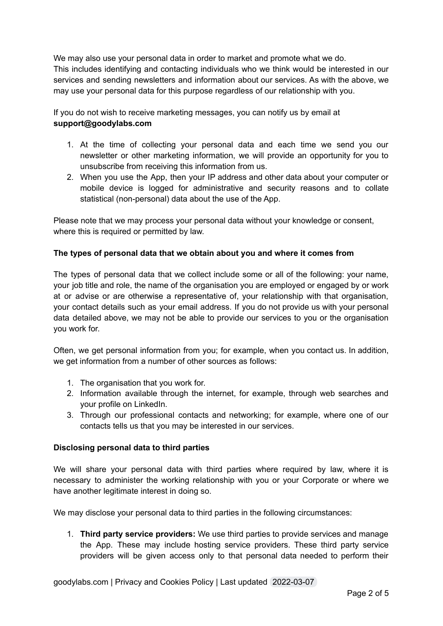We may also use your personal data in order to market and promote what we do. This includes identifying and contacting individuals who we think would be interested in our services and sending newsletters and information about our services. As with the above, we may use your personal data for this purpose regardless of our relationship with you.

If you do not wish to receive marketing messages, you can notify us by email at **support@goodylabs.com**

- 1. At the time of collecting your personal data and each time we send you our newsletter or other marketing information, we will provide an opportunity for you to unsubscribe from receiving this information from us.
- 2. When you use the App, then your IP address and other data about your computer or mobile device is logged for administrative and security reasons and to collate statistical (non-personal) data about the use of the App.

Please note that we may process your personal data without your knowledge or consent, where this is required or permitted by law.

## **The types of personal data that we obtain about you and where it comes from**

The types of personal data that we collect include some or all of the following: your name, your job title and role, the name of the organisation you are employed or engaged by or work at or advise or are otherwise a representative of, your relationship with that organisation, your contact details such as your email address. If you do not provide us with your personal data detailed above, we may not be able to provide our services to you or the organisation you work for.

Often, we get personal information from you; for example, when you contact us. In addition, we get information from a number of other sources as follows:

- 1. The organisation that you work for.
- 2. Information available through the internet, for example, through web searches and your profile on LinkedIn.
- 3. Through our professional contacts and networking; for example, where one of our contacts tells us that you may be interested in our services.

### **Disclosing personal data to third parties**

We will share your personal data with third parties where required by law, where it is necessary to administer the working relationship with you or your Corporate or where we have another legitimate interest in doing so.

We may disclose your personal data to third parties in the following circumstances:

1. **Third party service providers:** We use third parties to provide services and manage the App. These may include hosting service providers. These third party service providers will be given access only to that personal data needed to perform their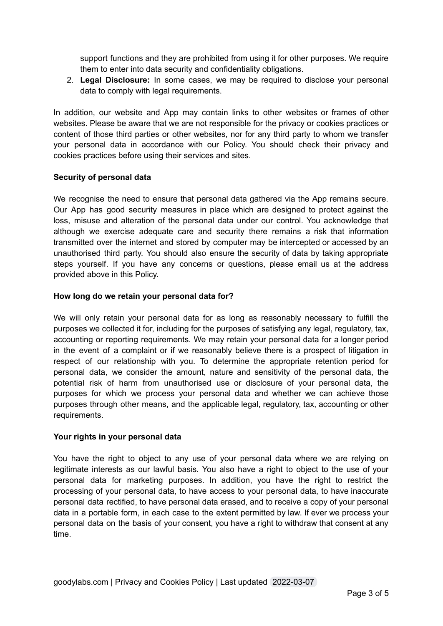support functions and they are prohibited from using it for other purposes. We require them to enter into data security and confidentiality obligations.

2. **Legal Disclosure:** In some cases, we may be required to disclose your personal data to comply with legal requirements.

In addition, our website and App may contain links to other websites or frames of other websites. Please be aware that we are not responsible for the privacy or cookies practices or content of those third parties or other websites, nor for any third party to whom we transfer your personal data in accordance with our Policy. You should check their privacy and cookies practices before using their services and sites.

### **Security of personal data**

We recognise the need to ensure that personal data gathered via the App remains secure. Our App has good security measures in place which are designed to protect against the loss, misuse and alteration of the personal data under our control. You acknowledge that although we exercise adequate care and security there remains a risk that information transmitted over the internet and stored by computer may be intercepted or accessed by an unauthorised third party. You should also ensure the security of data by taking appropriate steps yourself. If you have any concerns or questions, please email us at the address provided above in this Policy.

### **How long do we retain your personal data for?**

We will only retain your personal data for as long as reasonably necessary to fulfill the purposes we collected it for, including for the purposes of satisfying any legal, regulatory, tax, accounting or reporting requirements. We may retain your personal data for a longer period in the event of a complaint or if we reasonably believe there is a prospect of litigation in respect of our relationship with you. To determine the appropriate retention period for personal data, we consider the amount, nature and sensitivity of the personal data, the potential risk of harm from unauthorised use or disclosure of your personal data, the purposes for which we process your personal data and whether we can achieve those purposes through other means, and the applicable legal, regulatory, tax, accounting or other requirements.

### **Your rights in your personal data**

You have the right to object to any use of your personal data where we are relying on legitimate interests as our lawful basis. You also have a right to object to the use of your personal data for marketing purposes. In addition, you have the right to restrict the processing of your personal data, to have access to your personal data, to have inaccurate personal data rectified, to have personal data erased, and to receive a copy of your personal data in a portable form, in each case to the extent permitted by law. If ever we process your personal data on the basis of your consent, you have a right to withdraw that consent at any time.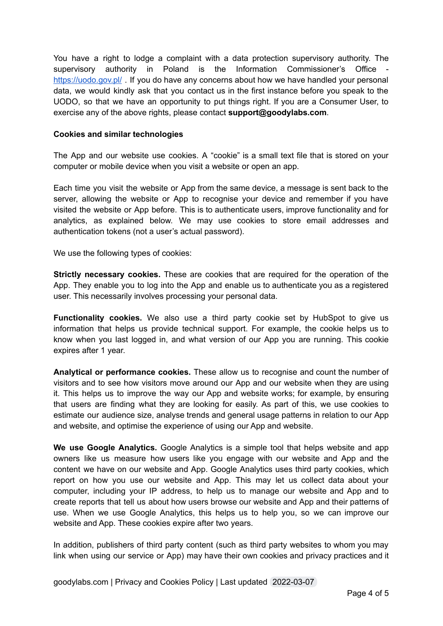You have a right to lodge a complaint with a data protection supervisory authority. The supervisory authority in Poland is the Information Commissioner's Office <https://uodo.gov.pl/> . If you do have any concerns about how we have handled your personal data, we would kindly ask that you contact us in the first instance before you speak to the UODO, so that we have an opportunity to put things right. If you are a Consumer User, to exercise any of the above rights, please contact **support@goodylabs.com**.

#### **Cookies and similar technologies**

The App and our website use cookies. A "cookie" is a small text file that is stored on your computer or mobile device when you visit a website or open an app.

Each time you visit the website or App from the same device, a message is sent back to the server, allowing the website or App to recognise your device and remember if you have visited the website or App before. This is to authenticate users, improve functionality and for analytics, as explained below. We may use cookies to store email addresses and authentication tokens (not a user's actual password).

We use the following types of cookies:

**Strictly necessary cookies.** These are cookies that are required for the operation of the App. They enable you to log into the App and enable us to authenticate you as a registered user. This necessarily involves processing your personal data.

**Functionality cookies.** We also use a third party cookie set by HubSpot to give us information that helps us provide technical support. For example, the cookie helps us to know when you last logged in, and what version of our App you are running. This cookie expires after 1 year.

**Analytical or performance cookies.** These allow us to recognise and count the number of visitors and to see how visitors move around our App and our website when they are using it. This helps us to improve the way our App and website works; for example, by ensuring that users are finding what they are looking for easily. As part of this, we use cookies to estimate our audience size, analyse trends and general usage patterns in relation to our App and website, and optimise the experience of using our App and website.

**We use Google Analytics.** Google Analytics is a simple tool that helps website and app owners like us measure how users like you engage with our website and App and the content we have on our website and App. Google Analytics uses third party cookies, which report on how you use our website and App. This may let us collect data about your computer, including your IP address, to help us to manage our website and App and to create reports that tell us about how users browse our website and App and their patterns of use. When we use Google Analytics, this helps us to help you, so we can improve our website and App. These cookies expire after two years.

In addition, publishers of third party content (such as third party websites to whom you may link when using our service or App) may have their own cookies and privacy practices and it